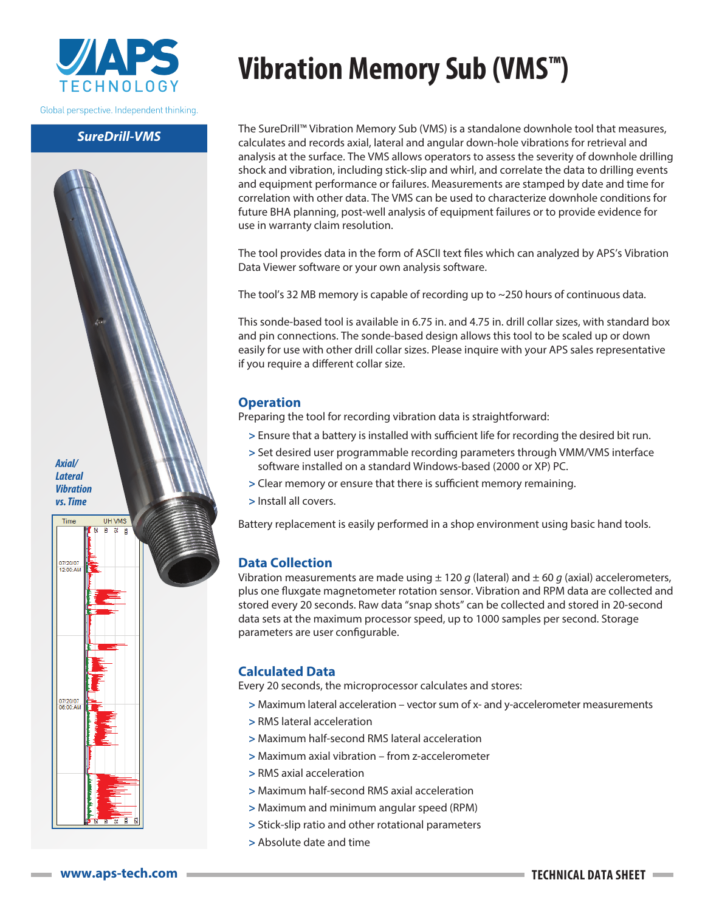

Global perspective. Independent thinking.

### *SureDrill-VMS*



# **Vibration Memory Sub (VMS™)**

The SureDrill™ Vibration Memory Sub (VMS) is a standalone downhole tool that measures, calculates and records axial, lateral and angular down-hole vibrations for retrieval and analysis at the surface. The VMS allows operators to assess the severity of downhole drilling shock and vibration, including stick-slip and whirl, and correlate the data to drilling events and equipment performance or failures. Measurements are stamped by date and time for correlation with other data. The VMS can be used to characterize downhole conditions for future BHA planning, post-well analysis of equipment failures or to provide evidence for use in warranty claim resolution.

The tool provides data in the form of ASCII text files which can analyzed by APS's Vibration Data Viewer software or your own analysis software.

The tool's 32 MB memory is capable of recording up to ~250 hours of continuous data.

This sonde-based tool is available in 6.75 in. and 4.75 in. drill collar sizes, with standard box and pin connections. The sonde-based design allows this tool to be scaled up or down easily for use with other drill collar sizes. Please inquire with your APS sales representative if you require a different collar size.

# **Operation**

Preparing the tool for recording vibration data is straightforward:

- **>** Ensure that a battery is installed with sufficient life for recording the desired bit run.
- **>** Set desired user programmable recording parameters through VMM/VMS interface software installed on a standard Windows-based (2000 or XP) PC.
- **>** Clear memory or ensure that there is sufficient memory remaining.
- **>** Install all covers.

Battery replacement is easily performed in a shop environment using basic hand tools.

# **Data Collection**

Vibration measurements are made using  $\pm$  120 *g* (lateral) and  $\pm$  60 *g* (axial) accelerometers, plus one fluxgate magnetometer rotation sensor. Vibration and RPM data are collected and stored every 20 seconds. Raw data "snap shots" can be collected and stored in 20-second data sets at the maximum processor speed, up to 1000 samples per second. Storage parameters are user configurable.

# **Calculated Data**

Every 20 seconds, the microprocessor calculates and stores:

- **>** Maximum lateral acceleration vector sum of x- and y-accelerometer measurements
- **>** RMS lateral acceleration
- **>** Maximum half-second RMS lateral acceleration
- **>** Maximum axial vibration from z-accelerometer
- **>** RMS axial acceleration
- **>** Maximum half-second RMS axial acceleration
- **>** Maximum and minimum angular speed (RPM)
- **>** Stick-slip ratio and other rotational parameters
- **>** Absolute date and time